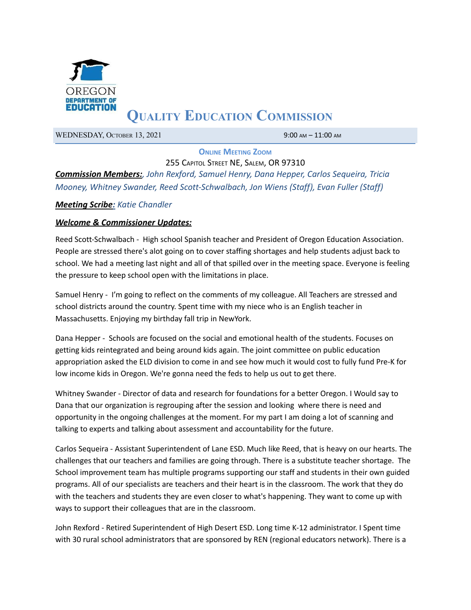

# **QUALITY EDUCATION COMMISSION**

WEDNESDAY, OCTOBER 13, 2021 9:00 AM – 11:00 AM

**ONLINE MEETING ZOOM**

255 CAPITOL STREET NE, SALEM, OR 97310 *Commission Members:, John Rexford, Samuel Henry, Dana Hepper, Carlos Sequeira, Tricia Mooney, Whitney Swander, Reed Scott-Schwalbach, Jon Wiens (Staff), Evan Fuller (Staff)*

# *Meeting Scribe: Katie Chandler*

## *Welcome & Commissioner Updates:*

Reed Scott-Schwalbach - High school Spanish teacher and President of Oregon Education Association. People are stressed there's alot going on to cover staffing shortages and help students adjust back to school. We had a meeting last night and all of that spilled over in the meeting space. Everyone is feeling the pressure to keep school open with the limitations in place.

Samuel Henry - I'm going to reflect on the comments of my colleague. All Teachers are stressed and school districts around the country. Spent time with my niece who is an English teacher in Massachusetts. Enjoying my birthday fall trip in NewYork.

Dana Hepper - Schools are focused on the social and emotional health of the students. Focuses on getting kids reintegrated and being around kids again. The joint committee on public education appropriation asked the ELD division to come in and see how much it would cost to fully fund Pre-K for low income kids in Oregon. We're gonna need the feds to help us out to get there.

Whitney Swander - Director of data and research for foundations for a better Oregon. I Would say to Dana that our organization is regrouping after the session and looking where there is need and opportunity in the ongoing challenges at the moment. For my part I am doing a lot of scanning and talking to experts and talking about assessment and accountability for the future.

Carlos Sequeira - Assistant Superintendent of Lane ESD. Much like Reed, that is heavy on our hearts. The challenges that our teachers and families are going through. There is a substitute teacher shortage. The School improvement team has multiple programs supporting our staff and students in their own guided programs. All of our specialists are teachers and their heart is in the classroom. The work that they do with the teachers and students they are even closer to what's happening. They want to come up with ways to support their colleagues that are in the classroom.

John Rexford - Retired Superintendent of High Desert ESD. Long time K-12 administrator. I Spent time with 30 rural school administrators that are sponsored by REN (regional educators network). There is a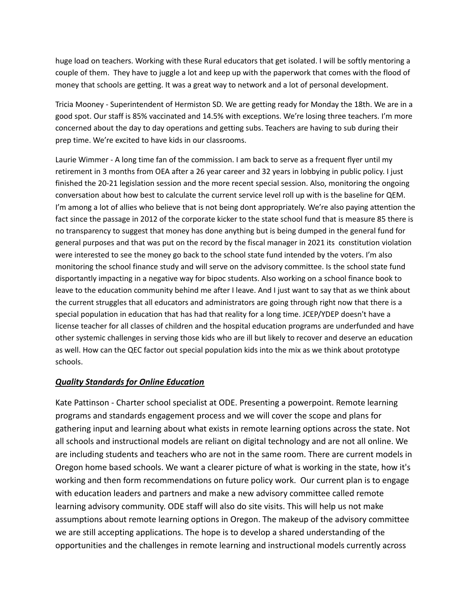huge load on teachers. Working with these Rural educators that get isolated. I will be softly mentoring a couple of them. They have to juggle a lot and keep up with the paperwork that comes with the flood of money that schools are getting. It was a great way to network and a lot of personal development.

Tricia Mooney - Superintendent of Hermiston SD. We are getting ready for Monday the 18th. We are in a good spot. Our staff is 85% vaccinated and 14.5% with exceptions. We're losing three teachers. I'm more concerned about the day to day operations and getting subs. Teachers are having to sub during their prep time. We're excited to have kids in our classrooms.

Laurie Wimmer - A long time fan of the commission. I am back to serve as a frequent flyer until my retirement in 3 months from OEA after a 26 year career and 32 years in lobbying in public policy. I just finished the 20-21 legislation session and the more recent special session. Also, monitoring the ongoing conversation about how best to calculate the current service level roll up with is the baseline for QEM. I'm among a lot of allies who believe that is not being dont appropriately. We're also paying attention the fact since the passage in 2012 of the corporate kicker to the state school fund that is measure 85 there is no transparency to suggest that money has done anything but is being dumped in the general fund for general purposes and that was put on the record by the fiscal manager in 2021 its constitution violation were interested to see the money go back to the school state fund intended by the voters. I'm also monitoring the school finance study and will serve on the advisory committee. Is the school state fund disportantly impacting in a negative way for bipoc students. Also working on a school finance book to leave to the education community behind me after I leave. And I just want to say that as we think about the current struggles that all educators and administrators are going through right now that there is a special population in education that has had that reality for a long time. JCEP/YDEP doesn't have a license teacher for all classes of children and the hospital education programs are underfunded and have other systemic challenges in serving those kids who are ill but likely to recover and deserve an education as well. How can the QEC factor out special population kids into the mix as we think about prototype schools.

## *Quality Standards for Online Education*

Kate Pattinson - Charter school specialist at ODE. Presenting a powerpoint. Remote learning programs and standards engagement process and we will cover the scope and plans for gathering input and learning about what exists in remote learning options across the state. Not all schools and instructional models are reliant on digital technology and are not all online. We are including students and teachers who are not in the same room. There are current models in Oregon home based schools. We want a clearer picture of what is working in the state, how it's working and then form recommendations on future policy work. Our current plan is to engage with education leaders and partners and make a new advisory committee called remote learning advisory community. ODE staff will also do site visits. This will help us not make assumptions about remote learning options in Oregon. The makeup of the advisory committee we are still accepting applications. The hope is to develop a shared understanding of the opportunities and the challenges in remote learning and instructional models currently across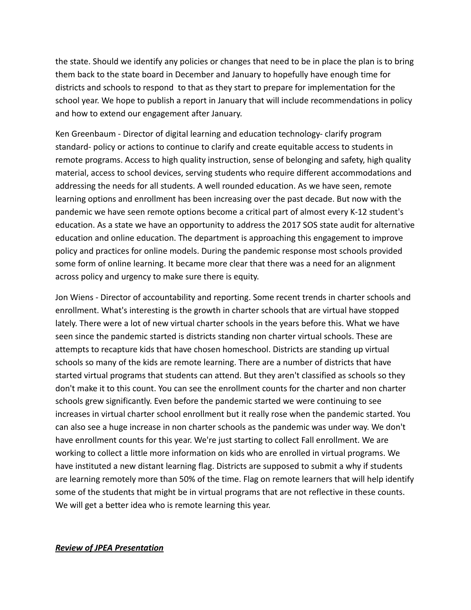the state. Should we identify any policies or changes that need to be in place the plan is to bring them back to the state board in December and January to hopefully have enough time for districts and schools to respond to that as they start to prepare for implementation for the school year. We hope to publish a report in January that will include recommendations in policy and how to extend our engagement after January.

Ken Greenbaum - Director of digital learning and education technology- clarify program standard- policy or actions to continue to clarify and create equitable access to students in remote programs. Access to high quality instruction, sense of belonging and safety, high quality material, access to school devices, serving students who require different accommodations and addressing the needs for all students. A well rounded education. As we have seen, remote learning options and enrollment has been increasing over the past decade. But now with the pandemic we have seen remote options become a critical part of almost every K-12 student's education. As a state we have an opportunity to address the 2017 SOS state audit for alternative education and online education. The department is approaching this engagement to improve policy and practices for online models. During the pandemic response most schools provided some form of online learning. It became more clear that there was a need for an alignment across policy and urgency to make sure there is equity.

Jon Wiens - Director of accountability and reporting. Some recent trends in charter schools and enrollment. What's interesting is the growth in charter schools that are virtual have stopped lately. There were a lot of new virtual charter schools in the years before this. What we have seen since the pandemic started is districts standing non charter virtual schools. These are attempts to recapture kids that have chosen homeschool. Districts are standing up virtual schools so many of the kids are remote learning. There are a number of districts that have started virtual programs that students can attend. But they aren't classified as schools so they don't make it to this count. You can see the enrollment counts for the charter and non charter schools grew significantly. Even before the pandemic started we were continuing to see increases in virtual charter school enrollment but it really rose when the pandemic started. You can also see a huge increase in non charter schools as the pandemic was under way. We don't have enrollment counts for this year. We're just starting to collect Fall enrollment. We are working to collect a little more information on kids who are enrolled in virtual programs. We have instituted a new distant learning flag. Districts are supposed to submit a why if students are learning remotely more than 50% of the time. Flag on remote learners that will help identify some of the students that might be in virtual programs that are not reflective in these counts. We will get a better idea who is remote learning this year.

#### *Review of JPEA Presentation*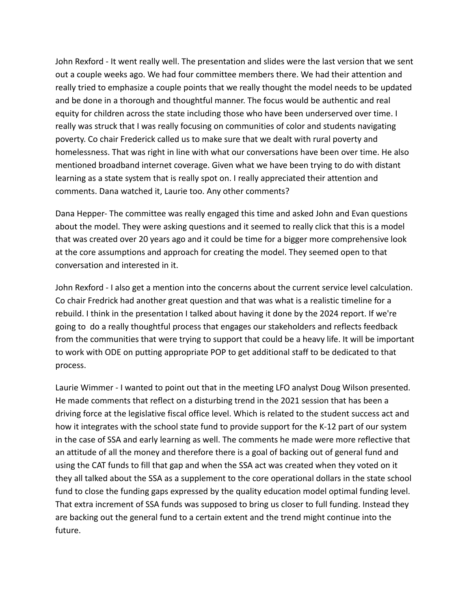John Rexford - It went really well. The presentation and slides were the last version that we sent out a couple weeks ago. We had four committee members there. We had their attention and really tried to emphasize a couple points that we really thought the model needs to be updated and be done in a thorough and thoughtful manner. The focus would be authentic and real equity for children across the state including those who have been underserved over time. I really was struck that I was really focusing on communities of color and students navigating poverty. Co chair Frederick called us to make sure that we dealt with rural poverty and homelessness. That was right in line with what our conversations have been over time. He also mentioned broadband internet coverage. Given what we have been trying to do with distant learning as a state system that is really spot on. I really appreciated their attention and comments. Dana watched it, Laurie too. Any other comments?

Dana Hepper- The committee was really engaged this time and asked John and Evan questions about the model. They were asking questions and it seemed to really click that this is a model that was created over 20 years ago and it could be time for a bigger more comprehensive look at the core assumptions and approach for creating the model. They seemed open to that conversation and interested in it.

John Rexford - I also get a mention into the concerns about the current service level calculation. Co chair Fredrick had another great question and that was what is a realistic timeline for a rebuild. I think in the presentation I talked about having it done by the 2024 report. If we're going to do a really thoughtful process that engages our stakeholders and reflects feedback from the communities that were trying to support that could be a heavy life. It will be important to work with ODE on putting appropriate POP to get additional staff to be dedicated to that process.

Laurie Wimmer - I wanted to point out that in the meeting LFO analyst Doug Wilson presented. He made comments that reflect on a disturbing trend in the 2021 session that has been a driving force at the legislative fiscal office level. Which is related to the student success act and how it integrates with the school state fund to provide support for the K-12 part of our system in the case of SSA and early learning as well. The comments he made were more reflective that an attitude of all the money and therefore there is a goal of backing out of general fund and using the CAT funds to fill that gap and when the SSA act was created when they voted on it they all talked about the SSA as a supplement to the core operational dollars in the state school fund to close the funding gaps expressed by the quality education model optimal funding level. That extra increment of SSA funds was supposed to bring us closer to full funding. Instead they are backing out the general fund to a certain extent and the trend might continue into the future.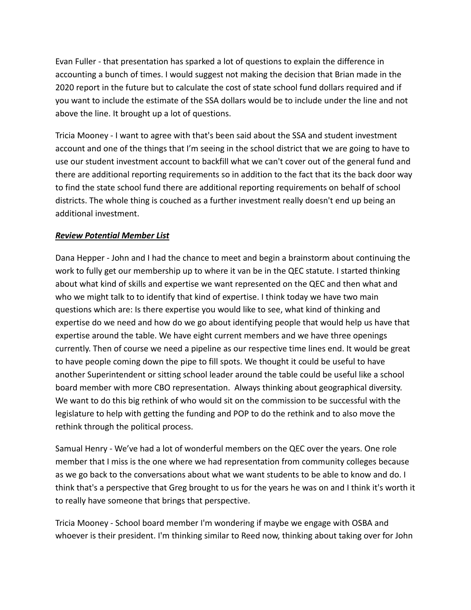Evan Fuller - that presentation has sparked a lot of questions to explain the difference in accounting a bunch of times. I would suggest not making the decision that Brian made in the 2020 report in the future but to calculate the cost of state school fund dollars required and if you want to include the estimate of the SSA dollars would be to include under the line and not above the line. It brought up a lot of questions.

Tricia Mooney - I want to agree with that's been said about the SSA and student investment account and one of the things that I'm seeing in the school district that we are going to have to use our student investment account to backfill what we can't cover out of the general fund and there are additional reporting requirements so in addition to the fact that its the back door way to find the state school fund there are additional reporting requirements on behalf of school districts. The whole thing is couched as a further investment really doesn't end up being an additional investment.

# *Review Potential Member List*

Dana Hepper - John and I had the chance to meet and begin a brainstorm about continuing the work to fully get our membership up to where it van be in the QEC statute. I started thinking about what kind of skills and expertise we want represented on the QEC and then what and who we might talk to to identify that kind of expertise. I think today we have two main questions which are: Is there expertise you would like to see, what kind of thinking and expertise do we need and how do we go about identifying people that would help us have that expertise around the table. We have eight current members and we have three openings currently. Then of course we need a pipeline as our respective time lines end. It would be great to have people coming down the pipe to fill spots. We thought it could be useful to have another Superintendent or sitting school leader around the table could be useful like a school board member with more CBO representation. Always thinking about geographical diversity. We want to do this big rethink of who would sit on the commission to be successful with the legislature to help with getting the funding and POP to do the rethink and to also move the rethink through the political process.

Samual Henry - We've had a lot of wonderful members on the QEC over the years. One role member that I miss is the one where we had representation from community colleges because as we go back to the conversations about what we want students to be able to know and do. I think that's a perspective that Greg brought to us for the years he was on and I think it's worth it to really have someone that brings that perspective.

Tricia Mooney - School board member I'm wondering if maybe we engage with OSBA and whoever is their president. I'm thinking similar to Reed now, thinking about taking over for John